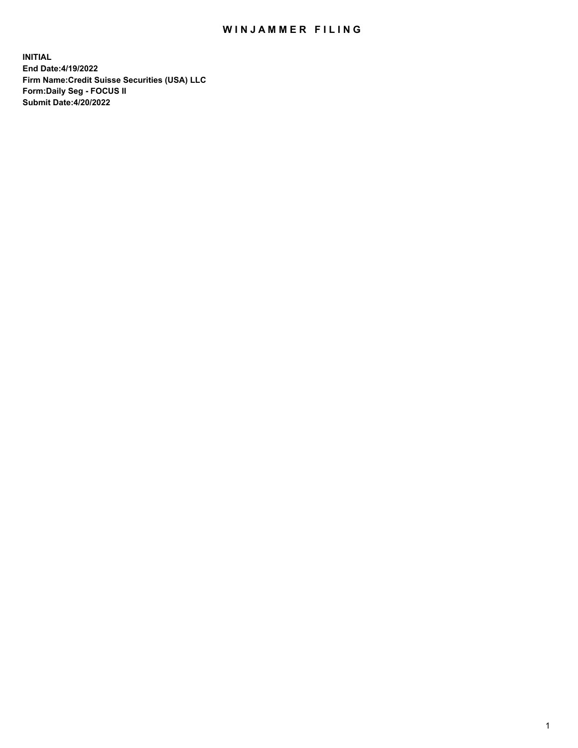# WIN JAMMER FILING

**INITIAL End Date:4/19/2022 Firm Name:Credit Suisse Securities (USA) LLC Form:Daily Seg - FOCUS II Submit Date:4/20/2022**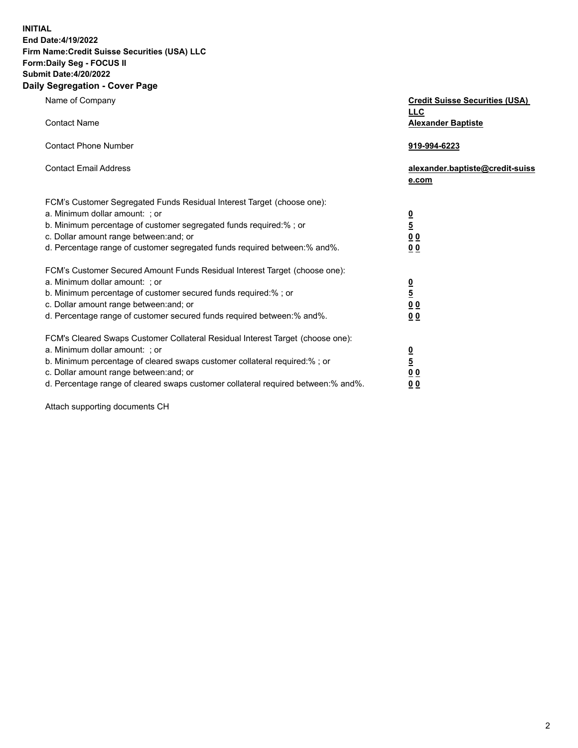**INITIAL**

### **End Date:4/19/2022 Firm Name:Credit Suisse Securities (USA) LLC Form:Daily Seg - FOCUS II Submit Date:4/20/2022**

## **Daily Segregation - Cover Page**

| Name of Company                                                                                                                                                                                                                                                                                                                | <b>Credit Suisse Securities (USA)</b><br><b>LLC</b>                   |
|--------------------------------------------------------------------------------------------------------------------------------------------------------------------------------------------------------------------------------------------------------------------------------------------------------------------------------|-----------------------------------------------------------------------|
| <b>Contact Name</b>                                                                                                                                                                                                                                                                                                            | <b>Alexander Baptiste</b>                                             |
| <b>Contact Phone Number</b>                                                                                                                                                                                                                                                                                                    | 919-994-6223                                                          |
| <b>Contact Email Address</b>                                                                                                                                                                                                                                                                                                   | alexander.baptiste@credit-suiss<br>e.com                              |
| FCM's Customer Segregated Funds Residual Interest Target (choose one):<br>a. Minimum dollar amount: : or<br>b. Minimum percentage of customer segregated funds required:% ; or<br>c. Dollar amount range between: and; or<br>d. Percentage range of customer segregated funds required between:% and%.                         | $\frac{0}{\frac{5}{0}}$<br>0 <sub>0</sub>                             |
| FCM's Customer Secured Amount Funds Residual Interest Target (choose one):<br>a. Minimum dollar amount: ; or<br>b. Minimum percentage of customer secured funds required:%; or<br>c. Dollar amount range between: and; or<br>d. Percentage range of customer secured funds required between:% and%.                            | $\frac{0}{5}$<br>$\underline{0}$<br>$\underline{0}$<br>0 <sub>0</sub> |
| FCM's Cleared Swaps Customer Collateral Residual Interest Target (choose one):<br>a. Minimum dollar amount: ; or<br>b. Minimum percentage of cleared swaps customer collateral required:% ; or<br>c. Dollar amount range between: and; or<br>d. Percentage range of cleared swaps customer collateral required between:% and%. | $\frac{0}{5}$<br>0 <sub>0</sub><br>0 <sub>0</sub>                     |

Attach supporting documents CH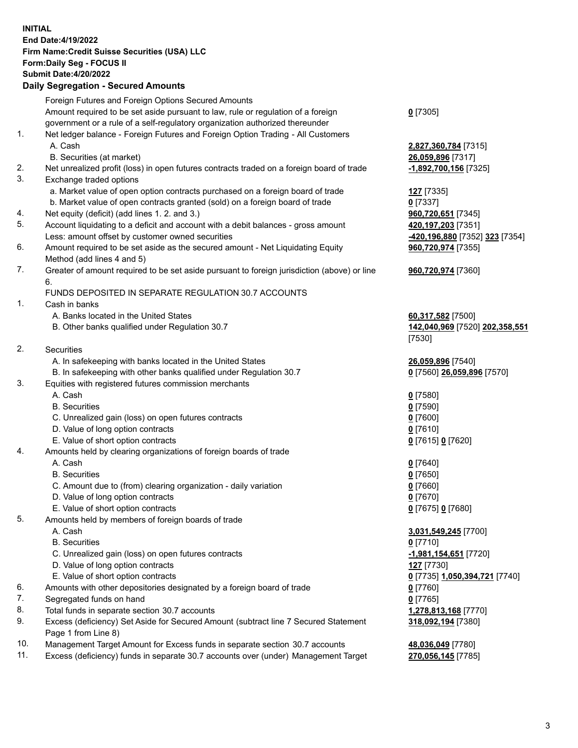### **INITIAL End Date:4/19/2022 Firm Name:Credit Suisse Securities (USA) LLC Form:Daily Seg - FOCUS II Submit Date:4/20/2022**

## **Daily Segregation - Secured Amounts**

|     | Foreign Futures and Foreign Options Secured Amounts                                         |                                |
|-----|---------------------------------------------------------------------------------------------|--------------------------------|
|     | Amount required to be set aside pursuant to law, rule or regulation of a foreign            | $Q$ [7305]                     |
|     | government or a rule of a self-regulatory organization authorized thereunder                |                                |
| 1.  | Net ledger balance - Foreign Futures and Foreign Option Trading - All Customers             |                                |
|     | A. Cash                                                                                     | 2,827,360,784 [7315]           |
|     | B. Securities (at market)                                                                   | 26,059,896 [7317]              |
| 2.  | Net unrealized profit (loss) in open futures contracts traded on a foreign board of trade   | -1,892,700,156 [7325]          |
| 3.  | Exchange traded options                                                                     |                                |
|     | a. Market value of open option contracts purchased on a foreign board of trade              | 127 [7335]                     |
|     | b. Market value of open contracts granted (sold) on a foreign board of trade                | $0$ [7337]                     |
| 4.  | Net equity (deficit) (add lines 1. 2. and 3.)                                               | 960,720,651 [7345]             |
| 5.  | Account liquidating to a deficit and account with a debit balances - gross amount           | 420,197,203 [7351]             |
|     | Less: amount offset by customer owned securities                                            | -420,196,880 [7352] 323 [7354] |
| 6.  | Amount required to be set aside as the secured amount - Net Liquidating Equity              | 960,720,974 [7355]             |
|     | Method (add lines 4 and 5)                                                                  |                                |
| 7.  | Greater of amount required to be set aside pursuant to foreign jurisdiction (above) or line | 960,720,974 [7360]             |
|     | 6.                                                                                          |                                |
|     | <b>FUNDS DEPOSITED IN SEPARATE REGULATION 30.7 ACCOUNTS</b>                                 |                                |
| 1.  | Cash in banks                                                                               |                                |
|     | A. Banks located in the United States                                                       | 60,317,582 [7500]              |
|     | B. Other banks qualified under Regulation 30.7                                              | 142,040,969 [7520] 202,358,551 |
|     |                                                                                             | [7530]                         |
| 2.  | Securities                                                                                  |                                |
|     | A. In safekeeping with banks located in the United States                                   | 26,059,896 [7540]              |
|     | B. In safekeeping with other banks qualified under Regulation 30.7                          | 0 [7560] 26,059,896 [7570]     |
| 3.  | Equities with registered futures commission merchants                                       |                                |
|     | A. Cash                                                                                     | $0$ [7580]                     |
|     | <b>B.</b> Securities                                                                        | $0$ [7590]                     |
|     | C. Unrealized gain (loss) on open futures contracts                                         | $0$ [7600]                     |
|     | D. Value of long option contracts                                                           | $0$ [7610]                     |
|     | E. Value of short option contracts                                                          | 0 [7615] 0 [7620]              |
| 4.  | Amounts held by clearing organizations of foreign boards of trade                           |                                |
|     | A. Cash                                                                                     | $0$ [7640]                     |
|     | <b>B.</b> Securities                                                                        | $0$ [7650]                     |
|     | C. Amount due to (from) clearing organization - daily variation                             | $0$ [7660]                     |
|     | D. Value of long option contracts                                                           | $0$ [7670]                     |
|     | E. Value of short option contracts                                                          | 0 [7675] 0 [7680]              |
| 5.  | Amounts held by members of foreign boards of trade                                          |                                |
|     | A. Cash                                                                                     | 3,031,549,245 [7700]           |
|     | <b>B.</b> Securities                                                                        | $0$ [7710]                     |
|     | C. Unrealized gain (loss) on open futures contracts                                         | -1,981,154,651 [7720]          |
|     | D. Value of long option contracts                                                           | 127 [7730]                     |
|     | E. Value of short option contracts                                                          | 0 [7735] 1,050,394,721 [7740]  |
| 6.  | Amounts with other depositories designated by a foreign board of trade                      | $0$ [7760]                     |
| 7.  | Segregated funds on hand                                                                    | $0$ [7765]                     |
| 8.  | Total funds in separate section 30.7 accounts                                               | 1,278,813,168 [7770]           |
| 9.  | Excess (deficiency) Set Aside for Secured Amount (subtract line 7 Secured Statement         | 318,092,194 [7380]             |
|     | Page 1 from Line 8)                                                                         |                                |
| 10. | Management Target Amount for Excess funds in separate section 30.7 accounts                 | 48,036,049 [7780]              |
|     |                                                                                             |                                |

11. Excess (deficiency) funds in separate 30.7 accounts over (under) Management Target **270,056,145** [7785]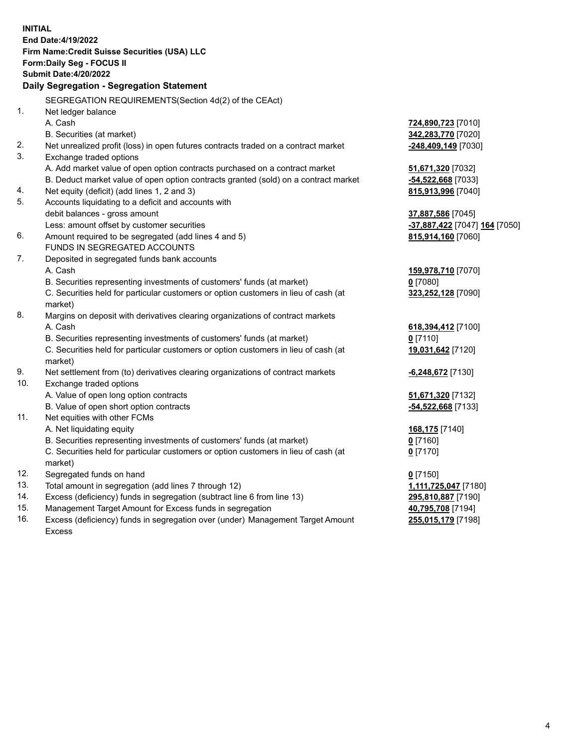|     | <b>INITIAL</b>                                                                                                                                                |                                                   |
|-----|---------------------------------------------------------------------------------------------------------------------------------------------------------------|---------------------------------------------------|
|     | End Date: 4/19/2022                                                                                                                                           |                                                   |
|     | Firm Name: Credit Suisse Securities (USA) LLC                                                                                                                 |                                                   |
|     | Form: Daily Seg - FOCUS II                                                                                                                                    |                                                   |
|     | <b>Submit Date:4/20/2022</b>                                                                                                                                  |                                                   |
|     | Daily Segregation - Segregation Statement                                                                                                                     |                                                   |
|     | SEGREGATION REQUIREMENTS(Section 4d(2) of the CEAct)                                                                                                          |                                                   |
| 1.  | Net ledger balance                                                                                                                                            |                                                   |
|     | A. Cash                                                                                                                                                       | 724,890,723 [7010]                                |
|     | B. Securities (at market)                                                                                                                                     | 342,283,770 [7020]                                |
| 2.  | Net unrealized profit (loss) in open futures contracts traded on a contract market                                                                            | -248,409,149 [7030]                               |
| 3.  | Exchange traded options                                                                                                                                       |                                                   |
|     | A. Add market value of open option contracts purchased on a contract market                                                                                   | 51,671,320 [7032]                                 |
| 4.  | B. Deduct market value of open option contracts granted (sold) on a contract market                                                                           | -54,522,668 [7033]                                |
| 5.  | Net equity (deficit) (add lines 1, 2 and 3)<br>Accounts liquidating to a deficit and accounts with                                                            | 815,913,996 [7040]                                |
|     | debit balances - gross amount                                                                                                                                 | 37,887,586 [7045]                                 |
|     | Less: amount offset by customer securities                                                                                                                    | <mark>-37,887,422</mark> [7047] <b>164</b> [7050] |
| 6.  | Amount required to be segregated (add lines 4 and 5)                                                                                                          | 815,914,160 [7060]                                |
|     | <b>FUNDS IN SEGREGATED ACCOUNTS</b>                                                                                                                           |                                                   |
| 7.  | Deposited in segregated funds bank accounts                                                                                                                   |                                                   |
|     | A. Cash                                                                                                                                                       | 159,978,710 [7070]                                |
|     | B. Securities representing investments of customers' funds (at market)                                                                                        | $0$ [7080]                                        |
|     | C. Securities held for particular customers or option customers in lieu of cash (at                                                                           | 323,252,128 [7090]                                |
|     | market)                                                                                                                                                       |                                                   |
| 8.  | Margins on deposit with derivatives clearing organizations of contract markets                                                                                |                                                   |
|     | A. Cash                                                                                                                                                       | 618, 394, 412 [7100]                              |
|     | B. Securities representing investments of customers' funds (at market)                                                                                        | $0$ [7110]                                        |
|     | C. Securities held for particular customers or option customers in lieu of cash (at                                                                           | 19,031,642 [7120]                                 |
|     | market)                                                                                                                                                       |                                                   |
| 9.  | Net settlement from (to) derivatives clearing organizations of contract markets                                                                               | <b>6,248,672</b> [7130]                           |
| 10. | Exchange traded options                                                                                                                                       |                                                   |
|     | A. Value of open long option contracts                                                                                                                        | 51,671,320 [7132]                                 |
|     | B. Value of open short option contracts                                                                                                                       | -54,522,668 [7133]                                |
| 11. | Net equities with other FCMs                                                                                                                                  |                                                   |
|     | A. Net liquidating equity                                                                                                                                     | 168,175 [7140]                                    |
|     | B. Securities representing investments of customers' funds (at market)<br>C. Securities held for particular customers or option customers in lieu of cash (at | $0$ [7160]                                        |
|     | market)                                                                                                                                                       | $0$ [7170]                                        |
| 12. | Segregated funds on hand                                                                                                                                      | $0$ [7150]                                        |
| 13. | Total amount in segregation (add lines 7 through 12)                                                                                                          | 1,111,725,047 [7180]                              |
| 14. | Excess (deficiency) funds in segregation (subtract line 6 from line 13)                                                                                       | 295,810,887 [7190]                                |
| 15. | Management Target Amount for Excess funds in segregation                                                                                                      | 40,795,708 [7194]                                 |
| 16. | Excess (deficiency) funds in segregation over (under) Management Target Amount                                                                                | 255,015,179 [7198]                                |

16. Excess (deficiency) funds in segregation over (under) Management Target Amount Excess